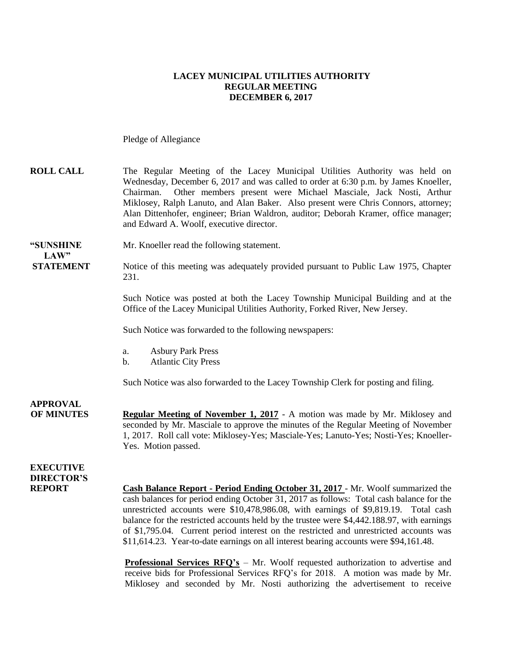#### **LACEY MUNICIPAL UTILITIES AUTHORITY REGULAR MEETING DECEMBER 6, 2017**

Pledge of Allegiance

| <b>ROLL CALL</b> | The Regular Meeting of the Lacey Municipal Utilities Authority was held on          |
|------------------|-------------------------------------------------------------------------------------|
|                  | Wednesday, December 6, 2017 and was called to order at 6:30 p.m. by James Knoeller, |
|                  | Chairman. Other members present were Michael Masciale, Jack Nosti, Arthur           |
|                  | Miklosey, Ralph Lanuto, and Alan Baker. Also present were Chris Connors, attorney;  |
|                  | Alan Dittenhofer, engineer; Brian Waldron, auditor; Deborah Kramer, office manager; |
|                  | and Edward A. Woolf, executive director.                                            |

**"SUNSHINE** Mr. Knoeller read the following statement.

**STATEMENT** Notice of this meeting was adequately provided pursuant to Public Law 1975, Chapter 231.

> Such Notice was posted at both the Lacey Township Municipal Building and at the Office of the Lacey Municipal Utilities Authority, Forked River, New Jersey.

Such Notice was forwarded to the following newspapers:

- a. Asbury Park Press
- b. Atlantic City Press

Such Notice was also forwarded to the Lacey Township Clerk for posting and filing.

**APPROVAL**

 $LAW"$ 

**OF MINUTES Regular Meeting of November 1, 2017** - A motion was made by Mr. Miklosey and seconded by Mr. Masciale to approve the minutes of the Regular Meeting of November 1, 2017. Roll call vote: Miklosey-Yes; Masciale-Yes; Lanuto-Yes; Nosti-Yes; Knoeller-Yes. Motion passed.

#### **EXECUTIVE DIRECTOR'S**

**REPORT Cash Balance Report - Period Ending October 31, 2017** - Mr. Woolf summarized the cash balances for period ending October 31, 2017 as follows: Total cash balance for the unrestricted accounts were \$10,478,986.08, with earnings of \$9,819.19. Total cash balance for the restricted accounts held by the trustee were \$4,442.188.97, with earnings of \$1,795.04. Current period interest on the restricted and unrestricted accounts was \$11,614.23. Year-to-date earnings on all interest bearing accounts were \$94,161.48.

> **Professional Services RFQ's** – Mr. Woolf requested authorization to advertise and receive bids for Professional Services RFQ's for 2018. A motion was made by Mr. Miklosey and seconded by Mr. Nosti authorizing the advertisement to receive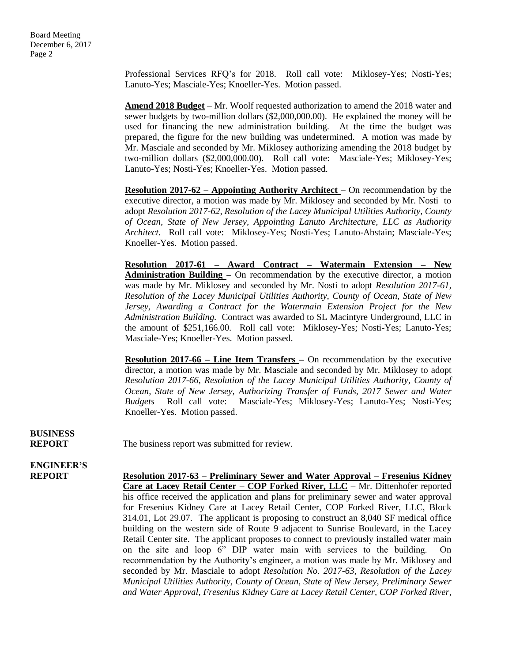Professional Services RFQ's for 2018. Roll call vote: Miklosey-Yes; Nosti-Yes; Lanuto-Yes; Masciale-Yes; Knoeller-Yes. Motion passed.

**Amend 2018 Budget** – Mr. Woolf requested authorization to amend the 2018 water and sewer budgets by two-million dollars (\$2,000,000.00). He explained the money will be used for financing the new administration building. At the time the budget was prepared, the figure for the new building was undetermined. A motion was made by Mr. Masciale and seconded by Mr. Miklosey authorizing amending the 2018 budget by two-million dollars (\$2,000,000.00). Roll call vote: Masciale-Yes; Miklosey-Yes; Lanuto-Yes; Nosti-Yes; Knoeller-Yes. Motion passed.

**Resolution 2017-62 – Appointing Authority Architect –** On recommendation by the executive director, a motion was made by Mr. Miklosey and seconded by Mr. Nosti to adopt *Resolution 2017-62, Resolution of the Lacey Municipal Utilities Authority, County of Ocean, State of New Jersey, Appointing Lanuto Architecture, LLC as Authority Architect.* Roll call vote: Miklosey-Yes; Nosti-Yes; Lanuto-Abstain; Masciale-Yes; Knoeller-Yes. Motion passed.

**Resolution 2017-61 – Award Contract – Watermain Extension – New Administration Building –** On recommendation by the executive director, a motion was made by Mr. Miklosey and seconded by Mr. Nosti to adopt *Resolution 2017-61, Resolution of the Lacey Municipal Utilities Authority, County of Ocean, State of New Jersey, Awarding a Contract for the Watermain Extension Project for the New Administration Building.* Contract was awarded to SL Macintyre Underground, LLC in the amount of \$251,166.00. Roll call vote: Miklosey-Yes; Nosti-Yes; Lanuto-Yes; Masciale-Yes; Knoeller-Yes. Motion passed.

**Resolution 2017-66 – Line Item Transfers –** On recommendation by the executive director, a motion was made by Mr. Masciale and seconded by Mr. Miklosey to adopt *Resolution 2017-66, Resolution of the Lacey Municipal Utilities Authority, County of Ocean, State of New Jersey, Authorizing Transfer of Funds, 2017 Sewer and Water Budgets* Roll call vote: Masciale-Yes; Miklosey-Yes; Lanuto-Yes; Nosti-Yes; Knoeller-Yes. Motion passed.

## **BUSINESS**

**REPORT** The business report was submitted for review.

## **ENGINEER'S**

**REPORT Resolution 2017-63 – Preliminary Sewer and Water Approval – Fresenius Kidney Care at Lacey Retail Center – COP Forked River, LLC** – Mr. Dittenhofer reported his office received the application and plans for preliminary sewer and water approval for Fresenius Kidney Care at Lacey Retail Center, COP Forked River, LLC, Block 314.01, Lot 29.07. The applicant is proposing to construct an 8,040 SF medical office building on the western side of Route 9 adjacent to Sunrise Boulevard, in the Lacey Retail Center site. The applicant proposes to connect to previously installed water main on the site and loop 6" DIP water main with services to the building. On recommendation by the Authority's engineer, a motion was made by Mr. Miklosey and seconded by Mr. Masciale to adopt *Resolution No. 2017-63, Resolution of the Lacey Municipal Utilities Authority, County of Ocean, State of New Jersey, Preliminary Sewer and Water Approval, Fresenius Kidney Care at Lacey Retail Center, COP Forked River,*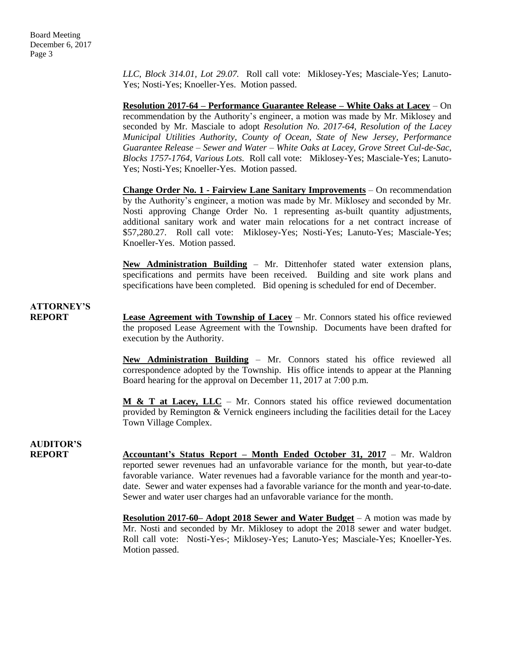*LLC, Block 314.01, Lot 29.07.* Roll call vote: Miklosey-Yes; Masciale-Yes; Lanuto-Yes; Nosti-Yes; Knoeller-Yes. Motion passed.

**Resolution 2017-64 – Performance Guarantee Release – White Oaks at Lacey** – On recommendation by the Authority's engineer, a motion was made by Mr. Miklosey and seconded by Mr. Masciale to adopt *Resolution No. 2017-64, Resolution of the Lacey Municipal Utilities Authority, County of Ocean, State of New Jersey, Performance Guarantee Release – Sewer and Water – White Oaks at Lacey, Grove Street Cul-de-Sac, Blocks 1757-1764, Various Lots.* Roll call vote: Miklosey-Yes; Masciale-Yes; Lanuto-Yes; Nosti-Yes; Knoeller-Yes. Motion passed.

**Change Order No. 1 - Fairview Lane Sanitary Improvements** – On recommendation by the Authority's engineer, a motion was made by Mr. Miklosey and seconded by Mr. Nosti approving Change Order No. 1 representing as-built quantity adjustments, additional sanitary work and water main relocations for a net contract increase of \$57,280.27. Roll call vote: Miklosey-Yes; Nosti-Yes; Lanuto-Yes; Masciale-Yes; Knoeller-Yes. Motion passed.

**New Administration Building** – Mr. Dittenhofer stated water extension plans, specifications and permits have been received. Building and site work plans and specifications have been completed. Bid opening is scheduled for end of December.

**ATTORNEY'S**

**REPORT Lease Agreement with Township of Lacey** – Mr. Connors stated his office reviewed the proposed Lease Agreement with the Township. Documents have been drafted for execution by the Authority.

> **New Administration Building** – Mr. Connors stated his office reviewed all correspondence adopted by the Township. His office intends to appear at the Planning Board hearing for the approval on December 11, 2017 at 7:00 p.m.

> **M & T at Lacey, LLC** – Mr. Connors stated his office reviewed documentation provided by Remington & Vernick engineers including the facilities detail for the Lacey Town Village Complex.

**AUDITOR'S**

**REPORT** Accountant's Status Report – Month Ended October 31, 2017 – Mr. Waldron reported sewer revenues had an unfavorable variance for the month, but year-to-date favorable variance. Water revenues had a favorable variance for the month and year-todate. Sewer and water expenses had a favorable variance for the month and year-to-date. Sewer and water user charges had an unfavorable variance for the month.

> **Resolution 2017-60– Adopt 2018 Sewer and Water Budget** – A motion was made by Mr. Nosti and seconded by Mr. Miklosey to adopt the 2018 sewer and water budget. Roll call vote: Nosti-Yes-; Miklosey-Yes; Lanuto-Yes; Masciale-Yes; Knoeller-Yes. Motion passed.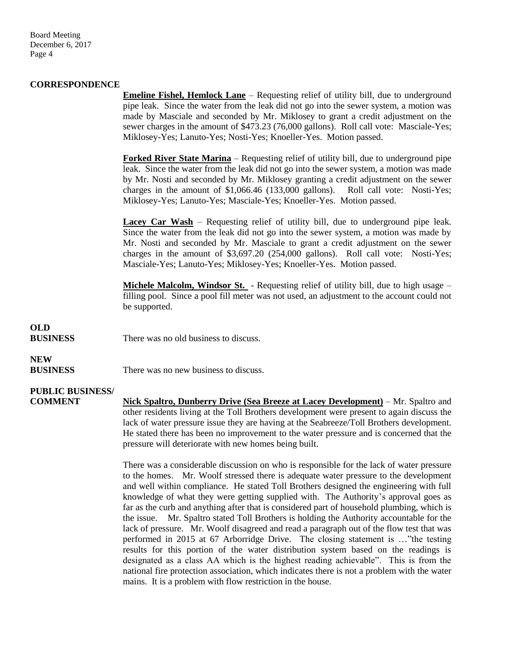Board Meeting December 6, 2017 Page 4

#### **CORRESPONDENCE**

**Emeline Fishel, Hemlock Lane** – Requesting relief of utility bill, due to underground pipe leak. Since the water from the leak did not go into the sewer system, a motion was made by Masciale and seconded by Mr. Miklosey to grant a credit adjustment on the sewer charges in the amount of \$473.23 (76,000 gallons). Roll call vote: Masciale-Yes; Miklosey-Yes; Lanuto-Yes; Nosti-Yes; Knoeller-Yes. Motion passed.

**Forked River State Marina** – Requesting relief of utility bill, due to underground pipe leak. Since the water from the leak did not go into the sewer system, a motion was made by Mr. Nosti and seconded by Mr. Miklosey granting a credit adjustment on the sewer charges in the amount of \$1,066.46 (133,000 gallons). Roll call vote: Nosti-Yes; Miklosey-Yes; Lanuto-Yes; Masciale-Yes; Knoeller-Yes. Motion passed.

**Lacey Car Wash** – Requesting relief of utility bill, due to underground pipe leak. Since the water from the leak did not go into the sewer system, a motion was made by Mr. Nosti and seconded by Mr. Masciale to grant a credit adjustment on the sewer charges in the amount of \$3,697.20 (254,000 gallons). Roll call vote: Nosti-Yes; Masciale-Yes; Lanuto-Yes; Miklosey-Yes; Knoeller-Yes. Motion passed.

**Michele Malcolm, Windsor St.** - Requesting relief of utility bill, due to high usage – filling pool. Since a pool fill meter was not used, an adjustment to the account could not be supported.

#### **OLD**

**BUSINESS** There was no old business to discuss

## **NEW**

**BUSINESS** There was no new business to discuss.

#### **PUBLIC BUSINESS/**

**COMMENT Nick Spaltro, Dunberry Drive (Sea Breeze at Lacey Development)** – Mr. Spaltro and other residents living at the Toll Brothers development were present to again discuss the lack of water pressure issue they are having at the Seabreeze/Toll Brothers development. He stated there has been no improvement to the water pressure and is concerned that the pressure will deteriorate with new homes being built.

> There was a considerable discussion on who is responsible for the lack of water pressure to the homes. Mr. Woolf stressed there is adequate water pressure to the development and well within compliance. He stated Toll Brothers designed the engineering with full knowledge of what they were getting supplied with. The Authority's approval goes as far as the curb and anything after that is considered part of household plumbing, which is the issue. Mr. Spaltro stated Toll Brothers is holding the Authority accountable for the lack of pressure. Mr. Woolf disagreed and read a paragraph out of the flow test that was performed in 2015 at 67 Arborridge Drive. The closing statement is …"the testing results for this portion of the water distribution system based on the readings is designated as a class AA which is the highest reading achievable". This is from the national fire protection association, which indicates there is not a problem with the water mains. It is a problem with flow restriction in the house.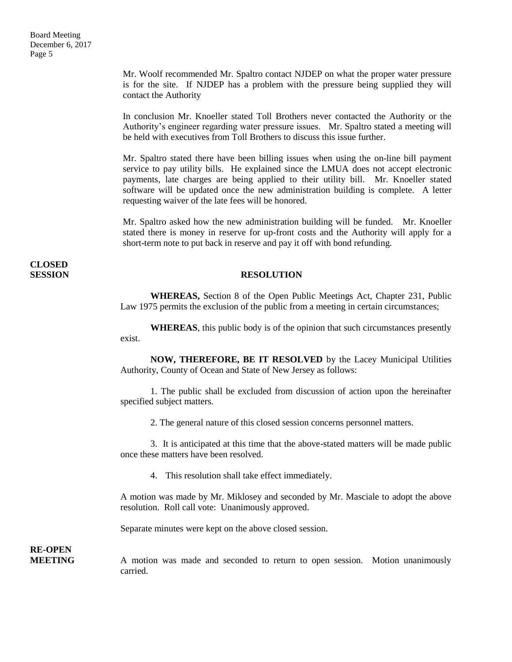Mr. Woolf recommended Mr. Spaltro contact NJDEP on what the proper water pressure is for the site. If NJDEP has a problem with the pressure being supplied they will contact the Authority

 In conclusion Mr. Knoeller stated Toll Brothers never contacted the Authority or the Authority's engineer regarding water pressure issues. Mr. Spaltro stated a meeting will be held with executives from Toll Brothers to discuss this issue further.

Mr. Spaltro stated there have been billing issues when using the on-line bill payment service to pay utility bills. He explained since the LMUA does not accept electronic payments, late charges are being applied to their utility bill. Mr. Knoeller stated software will be updated once the new administration building is complete. A letter requesting waiver of the late fees will be honored.

Mr. Spaltro asked how the new administration building will be funded. Mr. Knoeller stated there is money in reserve for up-front costs and the Authority will apply for a short-term note to put back in reserve and pay it off with bond refunding.

### **CLOSED**

#### **SESSION RESOLUTION**

**WHEREAS,** Section 8 of the Open Public Meetings Act, Chapter 231, Public Law 1975 permits the exclusion of the public from a meeting in certain circumstances;

**WHEREAS**, this public body is of the opinion that such circumstances presently exist.

**NOW, THEREFORE, BE IT RESOLVED** by the Lacey Municipal Utilities Authority, County of Ocean and State of New Jersey as follows:

1. The public shall be excluded from discussion of action upon the hereinafter specified subject matters.

2. The general nature of this closed session concerns personnel matters.

3. It is anticipated at this time that the above-stated matters will be made public once these matters have been resolved.

4. This resolution shall take effect immediately.

A motion was made by Mr. Miklosey and seconded by Mr. Masciale to adopt the above resolution. Roll call vote: Unanimously approved.

Separate minutes were kept on the above closed session.

**RE-OPEN**

**MEETING** A motion was made and seconded to return to open session. Motion unanimously carried.